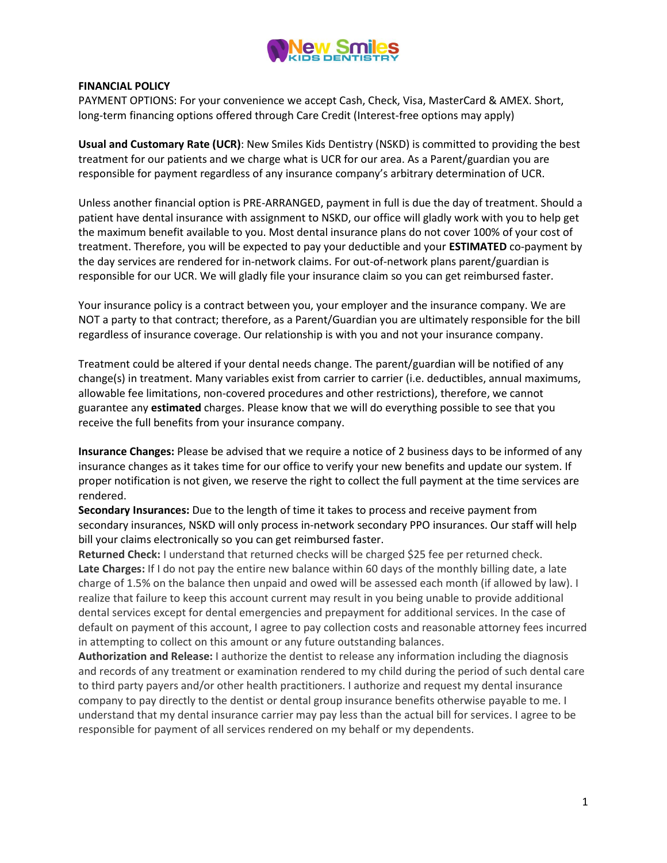

#### FINANCIAL POLICY

PAYMENT OPTIONS: For your convenience we accept Cash, Check, Visa, MasterCard & AMEX. Short, long-term financing options offered through Care Credit (Interest-free options may apply)

Usual and Customary Rate (UCR): New Smiles Kids Dentistry (NSKD) is committed to providing the best treatment for our patients and we charge what is UCR for our area. As a Parent/guardian you are responsible for payment regardless of any insurance company's arbitrary determination of UCR.

Unless another financial option is PRE-ARRANGED, payment in full is due the day of treatment. Should a patient have dental insurance with assignment to NSKD, our office will gladly work with you to help get the maximum benefit available to you. Most dental insurance plans do not cover 100% of your cost of treatment. Therefore, you will be expected to pay your deductible and your ESTIMATED co-payment by the day services are rendered for in-network claims. For out-of-network plans parent/guardian is responsible for our UCR. We will gladly file your insurance claim so you can get reimbursed faster.

Your insurance policy is a contract between you, your employer and the insurance company. We are NOT a party to that contract; therefore, as a Parent/Guardian you are ultimately responsible for the bill regardless of insurance coverage. Our relationship is with you and not your insurance company.

Treatment could be altered if your dental needs change. The parent/guardian will be notified of any change(s) in treatment. Many variables exist from carrier to carrier (i.e. deductibles, annual maximums, allowable fee limitations, non-covered procedures and other restrictions), therefore, we cannot guarantee any estimated charges. Please know that we will do everything possible to see that you receive the full benefits from your insurance company.

Insurance Changes: Please be advised that we require a notice of 2 business days to be informed of any insurance changes as it takes time for our office to verify your new benefits and update our system. If proper notification is not given, we reserve the right to collect the full payment at the time services are rendered.

Secondary Insurances: Due to the length of time it takes to process and receive payment from secondary insurances, NSKD will only process in-network secondary PPO insurances. Our staff will help bill your claims electronically so you can get reimbursed faster.

Returned Check: I understand that returned checks will be charged \$25 fee per returned check. Late Charges: If I do not pay the entire new balance within 60 days of the monthly billing date, a late charge of 1.5% on the balance then unpaid and owed will be assessed each month (if allowed by law). I realize that failure to keep this account current may result in you being unable to provide additional dental services except for dental emergencies and prepayment for additional services. In the case of default on payment of this account, I agree to pay collection costs and reasonable attorney fees incurred in attempting to collect on this amount or any future outstanding balances.

Authorization and Release: I authorize the dentist to release any information including the diagnosis and records of any treatment or examination rendered to my child during the period of such dental care to third party payers and/or other health practitioners. I authorize and request my dental insurance company to pay directly to the dentist or dental group insurance benefits otherwise payable to me. I understand that my dental insurance carrier may pay less than the actual bill for services. I agree to be responsible for payment of all services rendered on my behalf or my dependents.